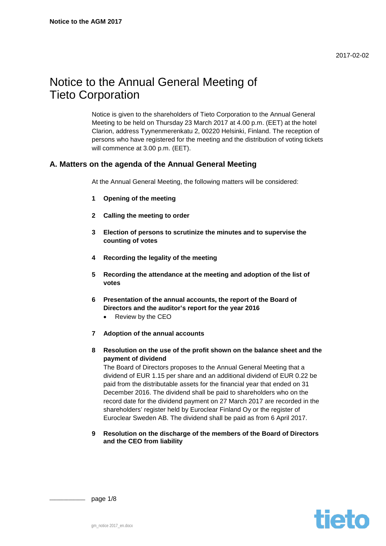# Notice to the Annual General Meeting of Tieto Corporation

Notice is given to the shareholders of Tieto Corporation to the Annual General Meeting to be held on Thursday 23 March 2017 at 4.00 p.m. (EET) at the hotel Clarion, address Tyynenmerenkatu 2, 00220 Helsinki, Finland. The reception of persons who have registered for the meeting and the distribution of voting tickets will commence at 3.00 p.m. (EET).

# **A. Matters on the agenda of the Annual General Meeting**

At the Annual General Meeting, the following matters will be considered:

- **1 Opening of the meeting**
- **2 Calling the meeting to order**
- **3 Election of persons to scrutinize the minutes and to supervise the counting of votes**
- **4 Recording the legality of the meeting**
- **5 Recording the attendance at the meeting and adoption of the list of votes**
- **6 Presentation of the annual accounts, the report of the Board of Directors and the auditor's report for the year 2016**
	- Review by the CEO
- **7 Adoption of the annual accounts**
- **8 Resolution on the use of the profit shown on the balance sheet and the payment of dividend**

The Board of Directors proposes to the Annual General Meeting that a dividend of EUR 1.15 per share and an additional dividend of EUR 0.22 be paid from the distributable assets for the financial year that ended on 31 December 2016. The dividend shall be paid to shareholders who on the record date for the dividend payment on 27 March 2017 are recorded in the shareholders' register held by Euroclear Finland Oy or the register of Euroclear Sweden AB. The dividend shall be paid as from 6 April 2017.

**9 Resolution on the discharge of the members of the Board of Directors and the CEO from liability**

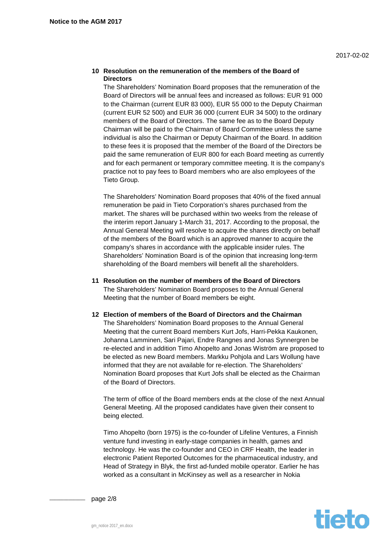## **10 Resolution on the remuneration of the members of the Board of Directors**

The Shareholders' Nomination Board proposes that the remuneration of the Board of Directors will be annual fees and increased as follows: EUR 91 000 to the Chairman (current EUR 83 000), EUR 55 000 to the Deputy Chairman (current EUR 52 500) and EUR 36 000 (current EUR 34 500) to the ordinary members of the Board of Directors. The same fee as to the Board Deputy Chairman will be paid to the Chairman of Board Committee unless the same individual is also the Chairman or Deputy Chairman of the Board. In addition to these fees it is proposed that the member of the Board of the Directors be paid the same remuneration of EUR 800 for each Board meeting as currently and for each permanent or temporary committee meeting. It is the company's practice not to pay fees to Board members who are also employees of the Tieto Group.

The Shareholders' Nomination Board proposes that 40% of the fixed annual remuneration be paid in Tieto Corporation's shares purchased from the market. The shares will be purchased within two weeks from the release of the interim report January 1-March 31, 2017. According to the proposal, the Annual General Meeting will resolve to acquire the shares directly on behalf of the members of the Board which is an approved manner to acquire the company's shares in accordance with the applicable insider rules. The Shareholders' Nomination Board is of the opinion that increasing long-term shareholding of the Board members will benefit all the shareholders.

- **11 Resolution on the number of members of the Board of Directors** The Shareholders' Nomination Board proposes to the Annual General Meeting that the number of Board members be eight.
- **12 Election of members of the Board of Directors and the Chairman** The Shareholders' Nomination Board proposes to the Annual General Meeting that the current Board members Kurt Jofs, Harri-Pekka Kaukonen, Johanna Lamminen, Sari Pajari, Endre Rangnes and Jonas Synnergren be re-elected and in addition Timo Ahopelto and Jonas Wiström are proposed to be elected as new Board members. Markku Pohjola and Lars Wollung have informed that they are not available for re-election. The Shareholders' Nomination Board proposes that Kurt Jofs shall be elected as the Chairman of the Board of Directors.

The term of office of the Board members ends at the close of the next Annual General Meeting. All the proposed candidates have given their consent to being elected.

Timo Ahopelto (born 1975) is the co-founder of Lifeline Ventures, a Finnish venture fund investing in early-stage companies in health, games and technology. He was the co-founder and CEO in CRF Health, the leader in electronic Patient Reported Outcomes for the pharmaceutical industry, and Head of Strategy in Blyk, the first ad-funded mobile operator. Earlier he has worked as a consultant in McKinsey as well as a researcher in Nokia



page 2/8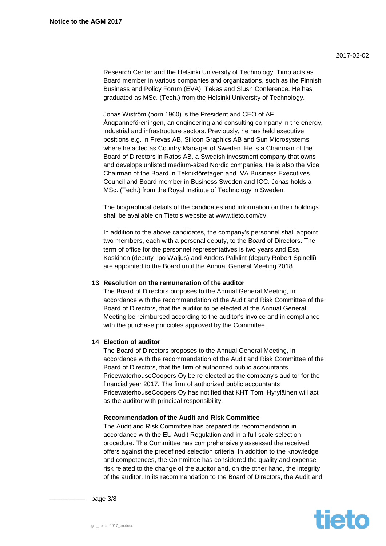Research Center and the Helsinki University of Technology. Timo acts as Board member in various companies and organizations, such as the Finnish Business and Policy Forum (EVA), Tekes and Slush Conference. He has graduated as MSc. (Tech.) from the Helsinki University of Technology.

Jonas Wiström (born 1960) is the President and CEO of ÅF Ångpanneföreningen, an engineering and consulting company in the energy, industrial and infrastructure sectors. Previously, he has held executive positions e.g. in Prevas AB, Silicon Graphics AB and Sun Microsystems where he acted as Country Manager of Sweden. He is a Chairman of the Board of Directors in Ratos AB, a Swedish investment company that owns and develops unlisted medium-sized Nordic companies. He is also the Vice Chairman of the Board in Teknikföretagen and IVA Business Executives Council and Board member in Business Sweden and ICC. Jonas holds a MSc. (Tech.) from the Royal Institute of Technology in Sweden.

The biographical details of the candidates and information on their holdings shall be available on Tieto's website at www.tieto.com/cv.

In addition to the above candidates, the company's personnel shall appoint two members, each with a personal deputy, to the Board of Directors. The term of office for the personnel representatives is two years and Esa Koskinen (deputy Ilpo Waljus) and Anders Palklint (deputy Robert Spinelli) are appointed to the Board until the Annual General Meeting 2018.

## **13 Resolution on the remuneration of the auditor**

The Board of Directors proposes to the Annual General Meeting, in accordance with the recommendation of the Audit and Risk Committee of the Board of Directors, that the auditor to be elected at the Annual General Meeting be reimbursed according to the auditor's invoice and in compliance with the purchase principles approved by the Committee.

## **14 Election of auditor**

The Board of Directors proposes to the Annual General Meeting, in accordance with the recommendation of the Audit and Risk Committee of the Board of Directors, that the firm of authorized public accountants PricewaterhouseCoopers Oy be re-elected as the company's auditor for the financial year 2017. The firm of authorized public accountants PricewaterhouseCoopers Oy has notified that KHT Tomi Hyryläinen will act as the auditor with principal responsibility.

#### **Recommendation of the Audit and Risk Committee**

The Audit and Risk Committee has prepared its recommendation in accordance with the EU Audit Regulation and in a full-scale selection procedure. The Committee has comprehensively assessed the received offers against the predefined selection criteria. In addition to the knowledge and competences, the Committee has considered the quality and expense risk related to the change of the auditor and, on the other hand, the integrity of the auditor. In its recommendation to the Board of Directors, the Audit and



page  $3/8$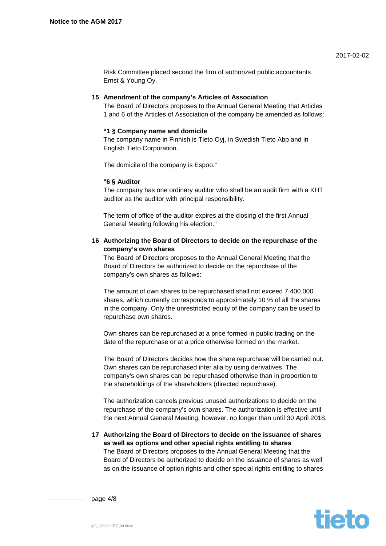Risk Committee placed second the firm of authorized public accountants Ernst & Young Oy.

### **15 Amendment of the company's Articles of Association**

The Board of Directors proposes to the Annual General Meeting that Articles 1 and 6 of the Articles of Association of the company be amended as follows:

#### **"1 § Company name and domicile**

The company name in Finnish is Tieto Oyj, in Swedish Tieto Abp and in English Tieto Corporation.

The domicile of the company is Espoo."

#### **"6 § Auditor**

The company has one ordinary auditor who shall be an audit firm with a KHT auditor as the auditor with principal responsibility.

The term of office of the auditor expires at the closing of the first Annual General Meeting following his election."

## **16 Authorizing the Board of Directors to decide on the repurchase of the company's own shares**

The Board of Directors proposes to the Annual General Meeting that the Board of Directors be authorized to decide on the repurchase of the company's own shares as follows:

The amount of own shares to be repurchased shall not exceed 7 400 000 shares, which currently corresponds to approximately 10 % of all the shares in the company. Only the unrestricted equity of the company can be used to repurchase own shares.

Own shares can be repurchased at a price formed in public trading on the date of the repurchase or at a price otherwise formed on the market.

The Board of Directors decides how the share repurchase will be carried out. Own shares can be repurchased inter alia by using derivatives. The company's own shares can be repurchased otherwise than in proportion to the shareholdings of the shareholders (directed repurchase).

The authorization cancels previous unused authorizations to decide on the repurchase of the company's own shares. The authorization is effective until the next Annual General Meeting, however, no longer than until 30 April 2018.

**17 Authorizing the Board of Directors to decide on the issuance of shares as well as options and other special rights entitling to shares** The Board of Directors proposes to the Annual General Meeting that the Board of Directors be authorized to decide on the issuance of shares as well as on the issuance of option rights and other special rights entitling to shares



page  $4/8$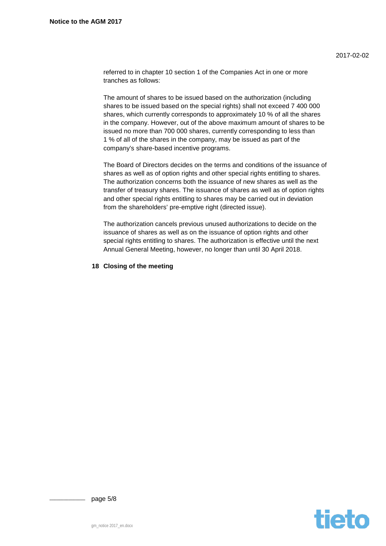referred to in chapter 10 section 1 of the Companies Act in one or more tranches as follows:

The amount of shares to be issued based on the authorization (including shares to be issued based on the special rights) shall not exceed 7 400 000 shares, which currently corresponds to approximately 10 % of all the shares in the company. However, out of the above maximum amount of shares to be issued no more than 700 000 shares, currently corresponding to less than 1 % of all of the shares in the company, may be issued as part of the company's share-based incentive programs.

The Board of Directors decides on the terms and conditions of the issuance of shares as well as of option rights and other special rights entitling to shares. The authorization concerns both the issuance of new shares as well as the transfer of treasury shares. The issuance of shares as well as of option rights and other special rights entitling to shares may be carried out in deviation from the shareholders' pre-emptive right (directed issue).

The authorization cancels previous unused authorizations to decide on the issuance of shares as well as on the issuance of option rights and other special rights entitling to shares. The authorization is effective until the next Annual General Meeting, however, no longer than until 30 April 2018.

## **18 Closing of the meeting**



page 5/8

gm\_notice 2017\_en.docx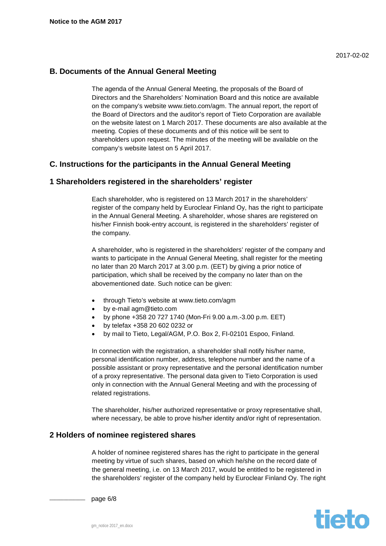# **B. Documents of the Annual General Meeting**

The agenda of the Annual General Meeting, the proposals of the Board of Directors and the Shareholders' Nomination Board and this notice are available on the company's website www.tieto.com/agm. The annual report, the report of the Board of Directors and the auditor's report of Tieto Corporation are available on the website latest on 1 March 2017. These documents are also available at the meeting. Copies of these documents and of this notice will be sent to shareholders upon request. The minutes of the meeting will be available on the company's website latest on 5 April 2017.

# **C. Instructions for the participants in the Annual General Meeting**

# **1 Shareholders registered in the shareholders' register**

Each shareholder, who is registered on 13 March 2017 in the shareholders' register of the company held by Euroclear Finland Oy, has the right to participate in the Annual General Meeting. A shareholder, whose shares are registered on his/her Finnish book-entry account, is registered in the shareholders' register of the company.

A shareholder, who is registered in the shareholders' register of the company and wants to participate in the Annual General Meeting, shall register for the meeting no later than 20 March 2017 at 3.00 p.m. (EET) by giving a prior notice of participation, which shall be received by the company no later than on the abovementioned date. Such notice can be given:

- through Tieto's website at www.tieto.com/agm
- by e-mail agm@tieto.com
- by phone +358 20 727 1740 (Mon-Fri 9.00 a.m.-3.00 p.m. EET)
- by telefax +358 20 602 0232 or
- by mail to Tieto, Legal/AGM, P.O. Box 2, FI-02101 Espoo, Finland.

In connection with the registration, a shareholder shall notify his/her name, personal identification number, address, telephone number and the name of a possible assistant or proxy representative and the personal identification number of a proxy representative. The personal data given to Tieto Corporation is used only in connection with the Annual General Meeting and with the processing of related registrations.

The shareholder, his/her authorized representative or proxy representative shall, where necessary, be able to prove his/her identity and/or right of representation.

# **2 Holders of nominee registered shares**

A holder of nominee registered shares has the right to participate in the general meeting by virtue of such shares, based on which he/she on the record date of the general meeting, i.e. on 13 March 2017, would be entitled to be registered in the shareholders' register of the company held by Euroclear Finland Oy. The right



page 6/8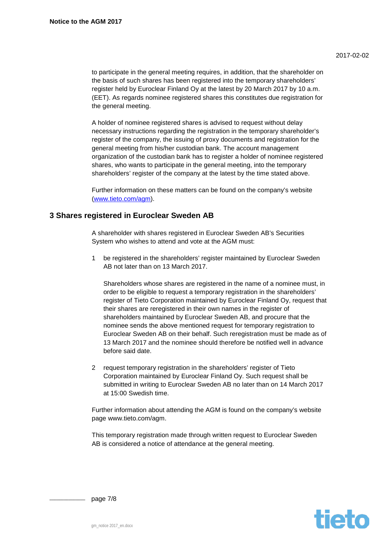to participate in the general meeting requires, in addition, that the shareholder on the basis of such shares has been registered into the temporary shareholders' register held by Euroclear Finland Oy at the latest by 20 March 2017 by 10 a.m. (EET). As regards nominee registered shares this constitutes due registration for the general meeting.

A holder of nominee registered shares is advised to request without delay necessary instructions regarding the registration in the temporary shareholder's register of the company, the issuing of proxy documents and registration for the general meeting from his/her custodian bank. The account management organization of the custodian bank has to register a holder of nominee registered shares, who wants to participate in the general meeting, into the temporary shareholders' register of the company at the latest by the time stated above.

Further information on these matters can be found on the company's website [\(www.tieto.com/agm\)](http://www.tieto.com/agm).

# **3 Shares registered in Euroclear Sweden AB**

A shareholder with shares registered in Euroclear Sweden AB's Securities System who wishes to attend and vote at the AGM must:

be registered in the shareholders' register maintained by Euroclear Sweden AB not later than on 13 March 2017.

Shareholders whose shares are registered in the name of a nominee must, in order to be eligible to request a temporary registration in the shareholders' register of Tieto Corporation maintained by Euroclear Finland Oy, request that their shares are reregistered in their own names in the register of shareholders maintained by Euroclear Sweden AB, and procure that the nominee sends the above mentioned request for temporary registration to Euroclear Sweden AB on their behalf. Such reregistration must be made as of 13 March 2017 and the nominee should therefore be notified well in advance before said date.

2 request temporary registration in the shareholders' register of Tieto Corporation maintained by Euroclear Finland Oy. Such request shall be submitted in writing to Euroclear Sweden AB no later than on 14 March 2017 at 15:00 Swedish time.

Further information about attending the AGM is found on the company's website page www.tieto.com/agm.

This temporary registration made through written request to Euroclear Sweden AB is considered a notice of attendance at the general meeting.



page 7/8